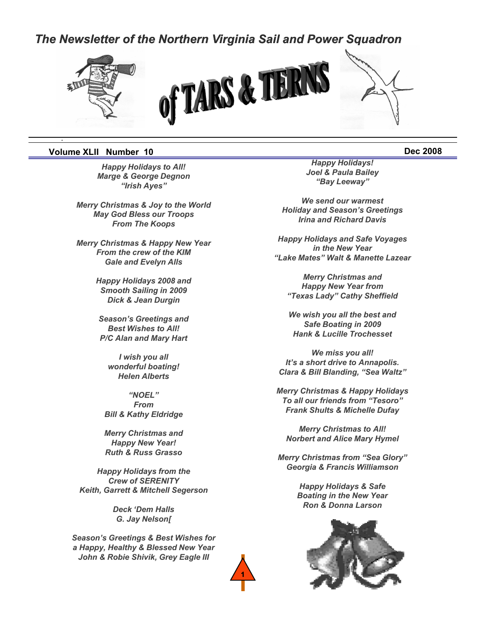# *The Newsletter of the Northern Virginia Sail and Power Squadron*



#### **Volume XLII Number 10 Dec 2008**

*.*

*Marge & George Degnon "Irish Ayes"*

*Merry Christmas & Joy to the World May God Bless our Troops From The Koops*

*From the crew of the KIM Gale and Evelyn Alls*

> *Happy Holidays 2008 and Smooth Sailing in 2009 Dick & Jean Durgin*

*Best Wishes to All! P/C Alan and Mary Hart*

> *I wish you all wonderful boating! Helen Alberts*

*"NOEL" From Bill & Kathy Eldridge*

*Merry Christmas and Happy New Year! Ruth & Russ Grasso*

*Happy Holidays from the Crew of SERENITY Keith, Garrett & Mitchell Segerson*

> *Deck 'Dem Halls G. Jay Nelson[*

*Season's Greetings & Best Wishes for a Happy, Healthy & Blessed New Year John & Robie Shivik, Grey Eagle III*

**1**

*Happy Holidays to All! Happy Holidays! Joel & Paula Bailey y y Joel & Paula "Bay Leeway"*

> *We send our warmest Holiday and Season's Greetings Irina and Richard Davis*

*Merry Christmas & Happy New Year Happy Holidays and Safe Voyages Merry Christmas & Happy New* **Happy Holidays and Safe Voyages** *in the New Year "Lake Mates" Walt & Manette Lazear*

> *Merry Christmas and Happy New Year from "Texas Lady" Cathy Sheffield*

*We wish you all the best and Season's Greetings and We wish you all the best Safe Boating in 2009 Hank & Lucille Trochesset*

> *We miss you all! It's a short drive to Annapolis. Clara & Bill Blanding, "Sea Waltz"*

*Merry Christmas & Happy Holidays To all our friends from "Tesoro" Frank Shults & Michelle Dufay*

*Merry Christmas to All! Norbert and Alice Mary Hymel*

*Merry Christmas from "Sea Glory" Merry Christmas from "Sea Georgia & Francis Williamson*

> *Happy Holidays & Safe Boating in the New Year Ron & Donna Larson*

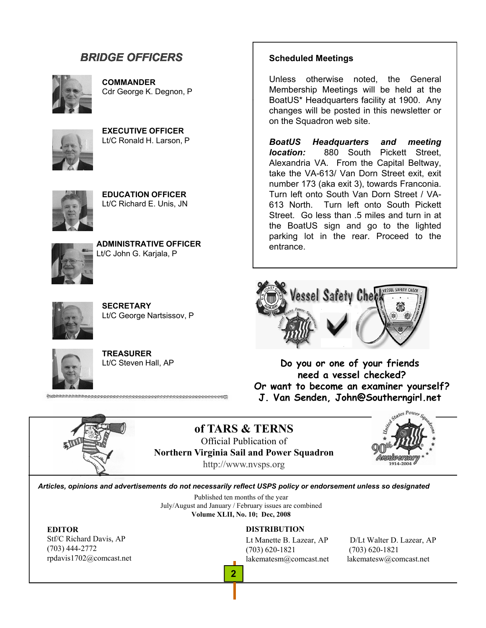# *BRIDGE OFFICERS*



**COMMANDER** Cdr George K. Degnon, P



**EXECUTIVE OFFICER** Lt/C Ronald H. Larson, P



**EDUCATION OFFICER** Lt/C Richard E. Unis, JN



**ADMINISTRATIVE OFFICER**<br>Lt/C John G. Karjala, P



**SECRETARY** Lt/C George Nartsissov, P

**TREASURER** Lt/C Steven Hall, AP

### **Scheduled Meetings**

Unless otherwise noted, the General Membership Meetings will be held at the BoatUS\* Headquarters facility at 1900. Any changes will be posted in this newsletter or on the Squadron web site.

*BoatUS Headquarters and meeting location:* 880 South Pickett Street, Alexandria VA. From the Capital Beltway, take the VA-613/ Van Dorn Street exit, exit number 173 (aka exit 3), towards Franconia. Turn left onto South Van Dorn Street / VA-613 North. Turn left onto South Pickett Street. Go less than .5 miles and turn in at the BoatUS sign and go to the lighted parking lot in the rear. Proceed to the entrance.



**Do you or one of your friends need a vessel checked? Or want to become an examiner yourself? J. Van Senden, John@Southerngirl.net** 



**of TARS & TERNS** Official Publication of **Northern Virginia Sail and Power Squadron** http://www.nvsps.org



*Articles, opinions and advertisements do not necessarily reflect USPS policy or endorsement unless so designated*

**2**

Published ten months of the year July/August and January / February issues are combined **Volume XLII, No. 10; Dec, 2008**

Stf/C Richard Davis, AP (703) 444-2772 rpdavis1702@comcast.net

#### **EDITOR DISTRIBUTION**

(703) 620-1821 (703) 620-1821 lakematesm@comcast.net lakematesw@comcast.net

Lt Manette B. Lazear, AP D/Lt Walter D. Lazear, AP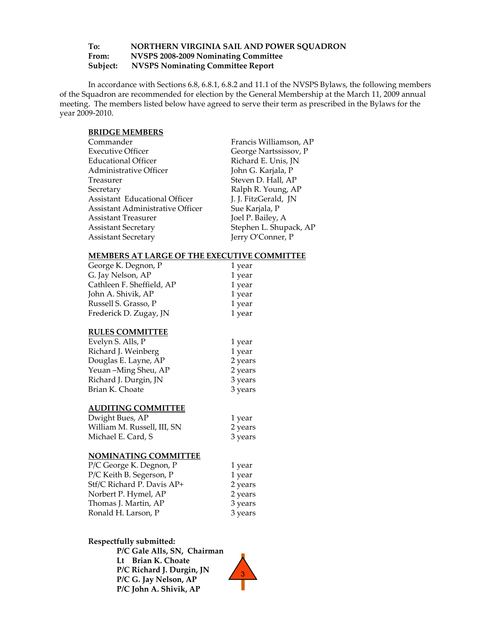#### **To: NORTHERN VIRGINIA SAIL AND POWER SQUADRON From: NVSPS 2008‐2009 Nominating Committee Subject: NVSPS Nominating Committee Report**

In accordance with Sections 6.8, 6.8.1, 6.8.2 and 11.1 of the NVSPS Bylaws, the following members of the Squadron are recommended for election by the General Membership at the March 11, 2009 annual meeting. The members listed below have agreed to serve their term as prescribed in the Bylaws for the year 2009‐2010.

#### **BRIDGE MEMBERS**

| Commander                        | Francis Williamson, AP |
|----------------------------------|------------------------|
| <b>Executive Officer</b>         | George Nartssissov, P  |
| Educational Officer              | Richard E. Unis, JN    |
| Administrative Officer           | John G. Karjala, P     |
| Treasurer                        | Steven D. Hall, AP     |
| Secretary                        | Ralph R. Young, AP     |
| Assistant Educational Officer    | J. J. FitzGerald, JN   |
| Assistant Administrative Officer | Sue Karjala, P         |
| <b>Assistant Treasurer</b>       | Joel P. Bailey, A      |
| <b>Assistant Secretary</b>       | Stephen L. Shupack, AP |
| <b>Assistant Secretary</b>       | Jerry O'Conner, P      |

#### **MEMBERS AT LARGE OF THE EXECUTIVE COMMITTEE**

| George K. Degnon, P       | 1 year  |
|---------------------------|---------|
| G. Jay Nelson, AP         | 1 year  |
| Cathleen F. Sheffield, AP | 1 year  |
| John A. Shivik, AP        | 1 year  |
| Russell S. Grasso, P      | 1 year  |
| Frederick D. Zugay, JN    | 1 year  |
| <b>RULES COMMITTEE</b>    |         |
| Evelyn S. Alls, P         | 1 year  |
| Richard J. Weinberg       | 1 year  |
| Douglas E. Layne, AP      | 2 years |
| Yeuan-Ming Sheu, AP       | 2 years |
| Richard J. Durgin, JN     | 3 years |

#### **AUDITING COMMITTEE**

| Dwight Bues, AP             | 1 year  |  |
|-----------------------------|---------|--|
| William M. Russell, III, SN | 2 years |  |
| Michael E. Card, S          | 3 years |  |

Brian K. Choate 3 years

#### **NOMINATING COMMITTEE**

| P/C George K. Degnon, P    | 1 year  |  |
|----------------------------|---------|--|
| P/C Keith B. Segerson, P   | 1 year  |  |
| Stf/C Richard P. Davis AP+ | 2 years |  |
| Norbert P. Hymel, AP       | 2 years |  |
| Thomas J. Martin, AP       | 3 years |  |
| Ronald H. Larson, P        | 3 years |  |

#### **Respectfully submitted:**

**P/C Gale Alls, SN, Chairman Lt Brian K. Choate P/C Richard J. Durgin, JN P/C G. Jay Nelson, AP P/C John A. Shivik, AP**

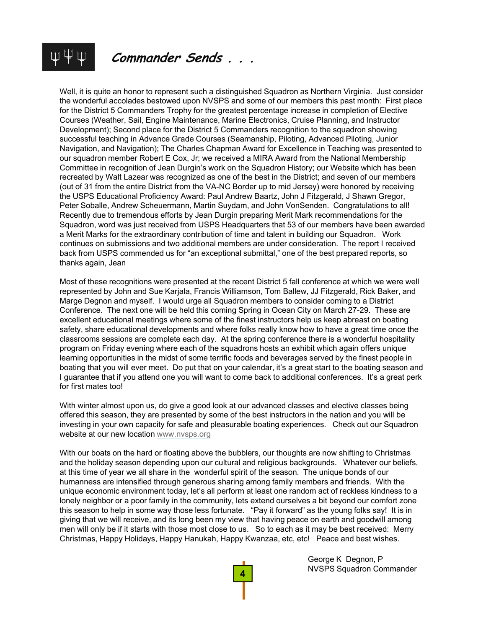# **Commander Sends . . .**

Well, it is quite an honor to represent such a distinguished Squadron as Northern Virginia. Just consider the wonderful accolades bestowed upon NVSPS and some of our members this past month: First place for the District 5 Commanders Trophy for the greatest percentage increase in completion of Elective Courses (Weather, Sail, Engine Maintenance, Marine Electronics, Cruise Planning, and Instructor Development); Second place for the District 5 Commanders recognition to the squadron showing successful teaching in Advance Grade Courses (Seamanship, Piloting, Advanced Piloting, Junior Navigation, and Navigation); The Charles Chapman Award for Excellence in Teaching was presented to our squadron member Robert E Cox, Jr; we received a MIRA Award from the National Membership Committee in recognition of Jean Durgin's work on the Squadron History; our Website which has been recreated by Walt Lazear was recognized as one of the best in the District; and seven of our members (out of 31 from the entire District from the VA-NC Border up to mid Jersey) were honored by receiving the USPS Educational Proficiency Award: Paul Andrew Baartz, John J Fitzgerald, J Shawn Gregor, Peter Soballe, Andrew Scheuermann, Martin Suydam, and John VonSenden. Congratulations to all! Recently due to tremendous efforts by Jean Durgin preparing Merit Mark recommendations for the Squadron, word was just received from USPS Headquarters that 53 of our members have been awarded a Merit Marks for the extraordinary contribution of time and talent in building our Squadron. Work continues on submissions and two additional members are under consideration. The report I received back from USPS commended us for "an exceptional submittal," one of the best prepared reports, so thanks again, Jean

Most of these recognitions were presented at the recent District 5 fall conference at which we were well represented by John and Sue Karjala, Francis Williamson, Tom Ballew, JJ Fitzgerald, Rick Baker, and Marge Degnon and myself. I would urge all Squadron members to consider coming to a District Conference. The next one will be held this coming Spring in Ocean City on March 27-29. These are excellent educational meetings where some of the finest instructors help us keep abreast on boating safety, share educational developments and where folks really know how to have a great time once the classrooms sessions are complete each day. At the spring conference there is a wonderful hospitality program on Friday evening where each of the squadrons hosts an exhibit which again offers unique learning opportunities in the midst of some terrific foods and beverages served by the finest people in boating that you will ever meet. Do put that on your calendar, it's a great start to the boating season and I guarantee that if you attend one you will want to come back to additional conferences. It's a great perk for first mates too!

With winter almost upon us, do give a good look at our advanced classes and elective classes being offered this season, they are presented by some of the best instructors in the nation and you will be investing in your own capacity for safe and pleasurable boating experiences. Check out our Squadron website at our new location www.nvsps.org

With our boats on the hard or floating above the bubblers, our thoughts are now shifting to Christmas and the holiday season depending upon our cultural and religious backgrounds. Whatever our beliefs, at this time of year we all share in the wonderful spirit of the season. The unique bonds of our humanness are intensified through generous sharing among family members and friends. With the unique economic environment today, let's all perform at least one random act of reckless kindness to a lonely neighbor or a poor family in the community, lets extend ourselves a bit beyond our comfort zone this season to help in some way those less fortunate. "Pay it forward" as the young folks say! It is in giving that we will receive, and its long been my view that having peace on earth and goodwill among men will only be if it starts with those most close to us. So to each as it may be best received: Merry Christmas, Happy Holidays, Happy Hanukah, Happy Kwanzaa, etc, etc! Peace and best wishes.



George K Degnon, P NVSPS Squadron Commander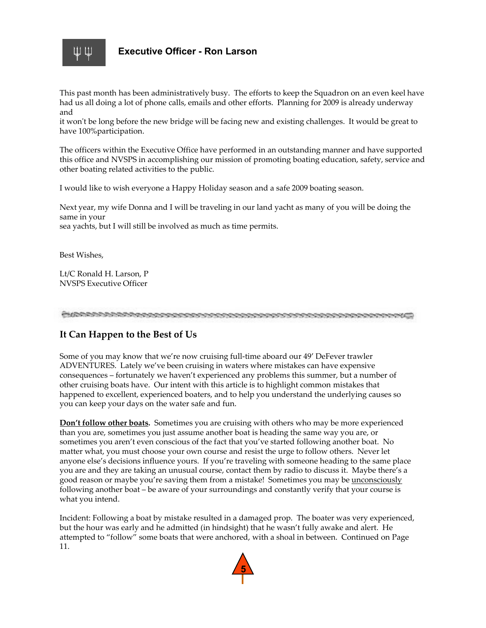

This past month has been administratively busy. The efforts to keep the Squadron on an even keel have had us all doing a lot of phone calls, emails and other efforts. Planning for 2009 is already underway and

it won't be long before the new bridge will be facing new and existing challenges. It would be great to have 100%participation.

The officers within the Executive Office have performed in an outstanding manner and have supported this office and NVSPS in accomplishing our mission of promoting boating education, safety, service and other boating related activities to the public.

I would like to wish everyone a Happy Holiday season and a safe 2009 boating season.

Next year, my wife Donna and I will be traveling in our land yacht as many of you will be doing the same in your

sea yachts, but I will still be involved as much as time permits.

Best Wishes,

Lt/C Ronald H. Larson, P NVSPS Executive Officer

#### **It Can Happen to the Best of Us**

Some of you may know that we're now cruising full-time aboard our 49' DeFever trawler ADVENTURES. Lately we've been cruising in waters where mistakes can have expensive consequences – fortunately we haven't experienced any problems this summer, but a number of other cruising boats have. Our intent with this article is to highlight common mistakes that happened to excellent, experienced boaters, and to help you understand the underlying causes so you can keep your days on the water safe and fun.

**Don't follow other boats.** Sometimes you are cruising with others who may be more experienced than you are, sometimes you just assume another boat is heading the same way you are, or sometimes you aren't even conscious of the fact that you've started following another boat. No matter what, you must choose your own course and resist the urge to follow others. Never let anyone else's decisions influence yours. If you're traveling with someone heading to the same place you are and they are taking an unusual course, contact them by radio to discuss it. Maybe there's a good reason or maybe you're saving them from a mistake! Sometimes you may be <u>unconsciously</u> following another boat – be aware of your surroundings and constantly verify that your course is what you intend.

Incident: Following a boat by mistake resulted in a damaged prop. The boater was very experienced, but the hour was early and he admitted (in hindsight) that he wasn't fully awake and alert. He attempted to "follow" some boats that were anchored, with a shoal in between. Continued on Page 11.

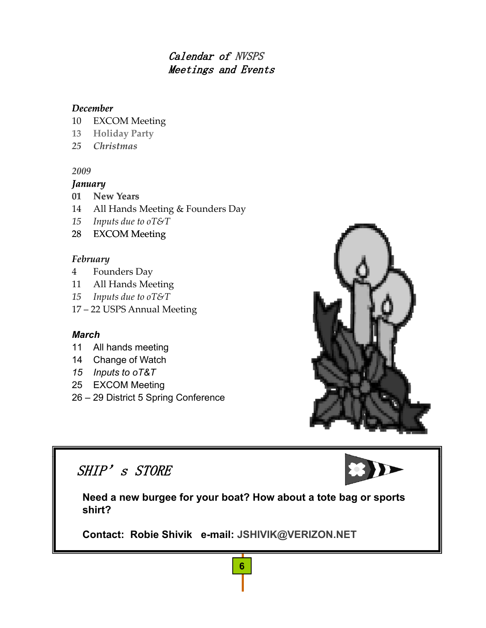# Calendar of NVSPS Meetings and Events

# *December*

- 10 EXCOM Meeting
- **13 Holiday Party**
- *25 Christmas*

# *2009*

# *January*

- **01 New Years**
- 14 All Hands Meeting & Founders Day
- *15 Inputs due to oT&T*
- 28 EXCOM Meeting

# *February*

- 4 Founders Day
- 11 All Hands Meeting
- *15 Inputs due to oT&T*
- 17 22 USPS Annual Meeting

# *March*

- 11 All hands meeting
- 14 Change of Watch
- *15 Inputs to oT&T*
- 25 EXCOM Meeting
- 26 29 District 5 Spring Conference



# SHIP's STORE

**Need a new burgee for your boat? How about a tote bag or sports shirt?** 

**6**

**Contact: Robie Shivik e-mail: JSHIVIK@VERIZON.NET**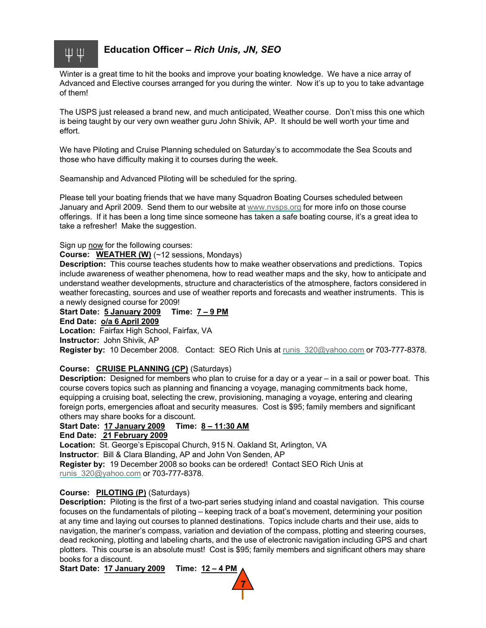

# **Education Officer –** *Rich Unis, JN, SEO*

Winter is a great time to hit the books and improve your boating knowledge. We have a nice array of Advanced and Elective courses arranged for you during the winter. Now it's up to you to take advantage of them!

The USPS just released a brand new, and much anticipated, Weather course. Don't miss this one which is being taught by our very own weather guru John Shivik, AP. It should be well worth your time and effort.

We have Piloting and Cruise Planning scheduled on Saturday's to accommodate the Sea Scouts and those who have difficulty making it to courses during the week.

Seamanship and Advanced Piloting will be scheduled for the spring.

Please tell your boating friends that we have many Squadron Boating Courses scheduled between January and April 2009. Send them to our website at www.nvsps.org for more info on those course offerings. If it has been a long time since someone has taken a safe boating course, it's a great idea to take a refresher! Make the suggestion.

Sign up now for the following courses:

#### **Course: WEATHER (W)** (~12 sessions, Mondays)

**Description:** This course teaches students how to make weather observations and predictions. Topics include awareness of weather phenomena, how to read weather maps and the sky, how to anticipate and understand weather developments, structure and characteristics of the atmosphere, factors considered in weather forecasting, sources and use of weather reports and forecasts and weather instruments. This is a newly designed course for 2009!

**Start Date: Start 5 January 2009 5 January Time: 7 – 9 PM End Date: o/a 6 April 2009**

**Location:** Fairfax High School, Fairfax, VA **Instructor:** John Shivik, AP

**Register by:** 10 December 2008. Contact: SEO Rich Unis at runis\_320@yahoo.com or 703-777-8378.

#### **Course: CRUISE PLANNING (CP)** (Saturdays)

**Description:** Designed for members who plan to cruise for a day or a year – in a sail or power boat. This course covers topics such as planning and financing a voyage, managing commitments back home, equipping a cruising boat, selecting the crew, provisioning, managing a voyage, entering and clearing foreign ports, emergencies afloat and security measures. Cost is \$95; family members and significant others may share books for a discount.

**Start Date: 17 January 2009 Time: 8 – 11:30 AM**

#### **End Date: 21 February 2009**

**Location:** St. George's Episcopal Church, 915 N. Oakland St, Arlington, VA

**Instructor: Bill & Clara Blanding, AP and John Von Senden, AP .** 

**Register by:** 19 December 2008 so books can be ordered! Contact SEO Rich Unis at runis 320@yahoo.com or 703-777-8378.

#### **Course: PILOTING (P)** (Saturdays)

**Description:** Piloting is the first of a two-part series studying inland and coastal navigation. This course focuses on the fundamentals of piloting – keeping track of a boat's movement, determining your position at any time and laying out courses to planned destinations. Topics include charts and their use, aids to navigation, the mariner's compass, variation and deviation of the compass, plotting and steering courses, dead reckoning, plotting and labeling charts, and the use of electronic navigation including GPS and chart plotters. This course is an absolute must! Cost is \$95; family members and significant others may share books for a discount.

**Start Date: 17 January 2009 Time: 12 – 4 PM**

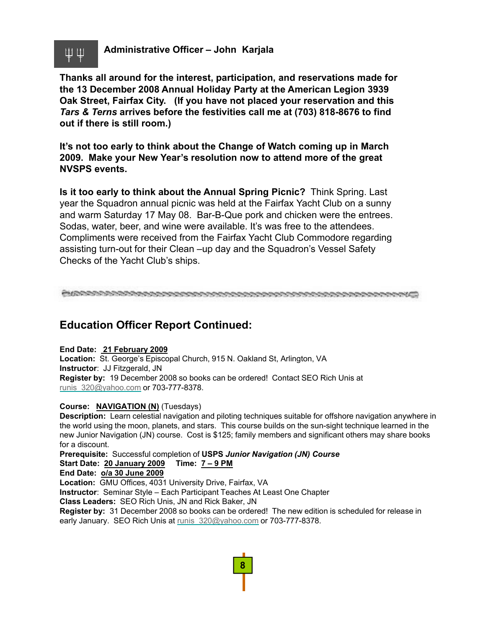

**Administrative Officer – John Karjala**

**Thanks all around for the interest, participation, and reservations made for the 13 December 2008 Annual Holiday Party at the American Legion 3939 Oak Street Fairfax City (If you have not placed your reservation and this Oak Street, Fairfax City. (If you have not placed your reservation and** *Tars & Terns* **arrives before the festivities call me at (703) 818-8676 to find out if there is still room.)**

**It's not too early to think about the Change of Watch coming up in March 2009. Make your New Year's resolution now to attend more of the great NVSPS events. NVSPS**

**Is it too early to think about the Annual Spring Picnic?** Think Spring. Last year the Squadron annual picnic was held at the Fairfax Yacht Club on a sunny and warm Saturday 17 May 08. Bar-B-Que pork and chicken were the entrees. Sodas, water, beer, and wine were available. It's was free to the attendees. Compliments were received from the Fairfax Yacht Club Commodore regarding assisting turn-out for their Clean –up day and the Squadron's Vessel Safety Checks of the Yacht Club's ships.

# **Education Officer Report Continued:**

**End Date: 21 February 2009 Location:** St. George's Episcopal Church, 915 N. Oakland St, Arlington, VA **Instructor**: JJ Fitzgerald, JN **Register by:** 19 December 2008 so books can be ordered! Contact SEO Rich Unis at runis 320@yahoo.com or 703-777-8378.

#### **Course: NAVIGATION (N)** (Tuesdays)

**Description:** Learn celestial navigation and piloting techniques suitable for offshore navigation anywhere in the world using the moon, planets, and stars. This course builds on the sun-sight technique learned in the new Junior Navigation (JN) course. Cost is \$125; family members and significant others may share books for a discount.

**Prerequisite:** Successful completion of USPS Junior Navigation (JN) Course **Start Date: 20 January 2009 Time: 7 – 9 PM End Date: o/a 30 June 2009**

**Location:** GMU Offices, 4031 University Drive, Fairfax, VA

**Instructor**: Seminar Style – Each Participant Teaches At Least One Chapter

**Class Leaders:** SEO Rich Unis, JN and Rick Baker, JN

**Register by:** 31 December 2008 so books can be ordered! The new edition is scheduled for release in early January. SEO Rich Unis at runis 320@yahoo.com or 703-777-8378.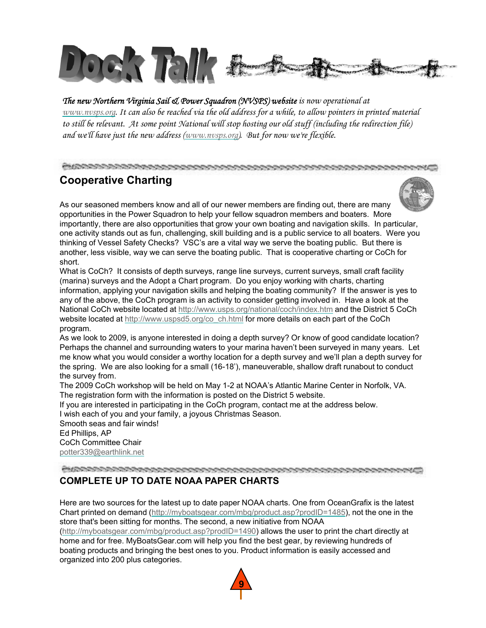

*The new Northern Virginia Sail & Power Squadron (NVSPS) website is now operational at www.nvsps.org. It can also be reached via the old address for a while, to allow pointers in printed material to still be relevant. At some point National will stop hosting our old stuff (including the redirection file) and we'll have just the new address (www.nvsps.org). But for now we're flexible.*

#### 

# **Cooperative Charting**



As our seasoned members know and all of our newer members are finding out, there are many opportunities in the Power Squadron to help your fellow squadron members and boaters. More importantly, there are also opportunities that grow your own boating and navigation skills. In particular, one activity stands out as fun, challenging, skill building and is a public service to all boaters. Were you thinking of Vessel Safety Checks? VSC's are a vital way we serve the boating public. But there is another, less visible, way we can serve the boating public. That is cooperative charting or CoCh for short.

What is CoCh? It consists of depth surveys, range line surveys, current surveys, small craft facility (marina) surveys and the Adopt a Chart program. Do you enjoy working with charts, charting information, applying your navigation skills and helping the boating community? If the answer is yes to any of the above, the CoCh program is an activity to consider getting involved in. Have a look at the National CoCh website located at http://www.usps.org/national/coch/index.htm and the District 5 CoCh website located at http://www.uspsd5.org/co\_ch.html for more details on each part of the CoCh program.

As we look to 2009, is anyone interested in doing a depth survey? Or know of good candidate location? Perhaps the channel and surrounding waters to your marina haven't been surveyed in many years. Let me know what you would consider a worthy location for a depth survey and we'll plan a depth survey for the spring. We are also looking for a small (16-18'), maneuverable, shallow draft runabout to conduct the survey from.

The 2009 CoCh workshop will be held on May 1-2 at NOAA's Atlantic Marine Center in Norfolk, VA. The registration form with the information is posted on the District 5 website.

If you are interested in participating in the CoCh program, contact me at the address below.

I wish each of you and your family, a joyous Christmas Season.

Smooth seas and fair winds! Ed Phillips, AP CoCh Committee Chair potter339@earthlink.net

# **COMPLETE UP TO DATE NOAA PAPER CHARTS**

Here are two sources for the latest up to date paper NOAA charts. One from OceanGrafix is the latest Chart printed on demand (http://myboatsgear.com/mbg/product.asp?prodID=1485), not the one in the store that's been sitting for months. The second, a new initiative from NOAA

(http://myboatsgear.com/mbg/product.asp?prodID=1490) allows the user to print the chart directly at home and for free. MyBoatsGear.com will help you find the best gear, by reviewing hundreds of boating products and bringing the best ones to you. Product information is easily accessed and organized into 200 plus categories.

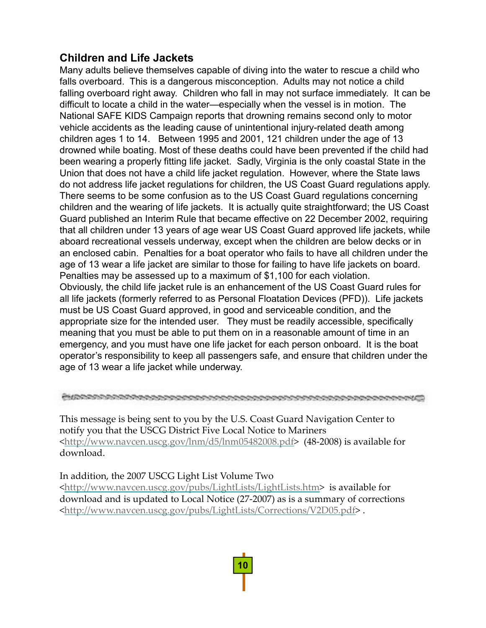# **Children and Life Jackets**

Many adults believe themselves capable of diving into the water to rescue a child who falls overboard. This is a dangerous misconception. Adults may not notice a child falling overboard right away. Children who fall in may not surface immediately. It can be difficult to locate a child in the water—especially when the vessel is in motion. The National SAFE KIDS Campaign reports that drowning remains second only to motor vehicle accidents as the leading cause of unintentional injury-related death among children ages 1 to 14. Between 1995 and 2001, 121 children under the age of 13 drowned while boating. Most of these deaths could have been prevented if the child had been wearing a properly fitting life jacket. Sadly, Virginia is the only coastal State in the Union that does not have a child life jacket regulation. However, where the State laws do not address life jacket regulations for children, the US Coast Guard regulations apply. There seems to be some confusion as to the US Coast Guard regulations concerning children and the wearing of life jackets. It is actually quite straightforward; the US Coast Guard published an Interim Rule that became effective on 22 December 2002, requiring that all children under 13 years of age wear US Coast Guard approved life jackets, while aboard recreational vessels underway, except when the children are below decks or in an enclosed cabin. Penalties for a boat operator who fails to have all children under the age of 13 wear a life jacket are similar to those for failing to have life jackets on board. Penalties may be assessed up to a maximum of \$1,100 for each violation. Obviously, the child life jacket rule is an enhancement of the US Coast Guard rules for all life jackets (formerly referred to as Personal Floatation Devices (PFD)). Life jackets must be US Coast Guard approved, in good and serviceable condition, and the appropriate size for the intended user. They must be readily accessible, specifically meaning that you must be able to put them on in a reasonable amount of time in an emergency, and you must have one life jacket for each person onboard. It is the boat operator's responsibility to keep all passengers safe, and ensure that children under the age of 13 wear a life jacket while underway.

This message is being sent to you by the U.S. Coast Guard Navigation Center to notify you that the USCG District Five Local Notice to Mariners <http://www.navcen.uscg.gov/lnm/d5/lnm05482008.pdf> (48‐2008) is available for download.

# In addition, the 2007 USCG Light List Volume Two

<http://www.navcen.uscg.gov/pubs/LightLists/LightLists.htm> is available for download and is updated to Local Notice (27‐2007) as is a summary of corrections <http://www.navcen.uscg.gov/pubs/LightLists/Corrections/V2D05.pdf> .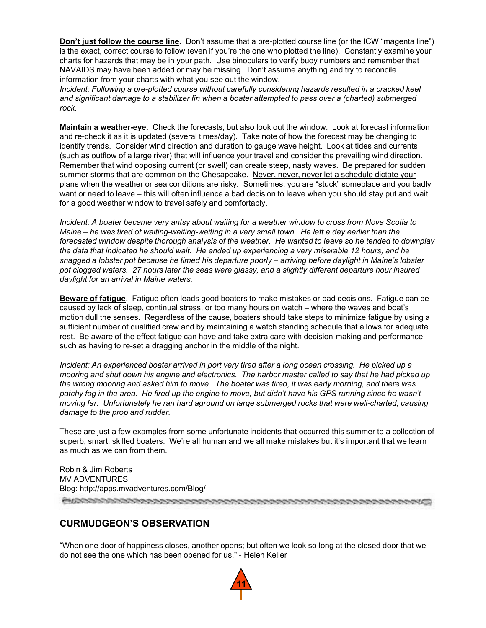**Don't just follow the course line.** Don't assume that a pre-plotted course line (or the ICW "magenta line") is the exact, correct course to follow (even if you're the one who plotted the line). Constantly examine your charts for hazards that may be in your path. Use binoculars to verify buoy numbers and remember that NAVAIDS may have been added or may be missing. Don't assume anything and try to reconcile information from your charts with what you see out the window.

*Incident: Following a pre-plotted course without carefully considering hazards resulted in a cracked keel*  and significant damage to a stabilizer fin when a boater attempted to pass over a (charted) submerged *rock.*

**Maintain a weather-eye**. Check the forecasts, but also look out the window. Look at forecast information and re-check it as it is updated (several times/day). Take note of how the forecast may be changing to identify trends. Consider wind direction and duration to gauge wave height. Look at tides and currents (such as outflow of a large river) that will influence your travel and consider the prevailing wind direction. Remember that wind opposing current (or swell) can create steep, nasty waves. Be prepared for sudden summer storms that are common on the Chesapeake. Never, never, never let a schedule dictate your plans when the weather or sea conditions are risky*.* Sometimes, you are "stuck" someplace and you badly want or need to leave – this will often influence a bad decision to leave when you should stay put and wait for a good weather window to travel safely and comfortably.

*Incident: A boater became very antsy about waiting for a weather window to cross from Nova Scotia to Maine – he was tired of waiting-waiting-waiting in a very small town. He left a day earlier than the*  forecasted window despite thorough analysis of the weather. He wanted to leave so he tended to downplay *the data that indicated he should wait. He ended up experiencing a very miserable 12 hours, and he snagged a lobster pot because he timed his departure poorly – arriving before daylight in Maine's lobster pot clogged waters. 27 hours later the seas were glassy, and a slightly different departure hour insured daylight for an arrival in Maine waters.* 

**Beware of fatigue**. Fatigue often leads good boaters to make mistakes or bad decisions. Fatigue can be caused by lack of sleep, continual stress, or too many hours on watch – where the waves and boat's motion dull the senses. Regardless of the cause, boaters should take steps to minimize fatigue by using a sufficient number of qualified crew and by maintaining a watch standing schedule that allows for adequate rest. Be aware of the effect fatigue can have and take extra care with decision-making and performance – such as having to re-set a dragging anchor in the middle of the night.

*Incident: An experienced boater arrived in port very tired after a long ocean crossing. He picked up a mooring and shut down his engine and electronics. The harbor master called to say that he had picked up*  the wrong mooring and asked him to move. The boater was tired, it was early morning, and there was patchy fog in the area. He fired up the engine to move, but didn't have his GPS running since he wasn't *moving far. Unfortunately he ran hard aground on large submerged rocks that were well-charted, causing damage to the prop and rudder.*

These are just a few examples from some unfortunate incidents that occurred this summer to a collection of superb, smart, skilled boaters. We're all human and we all make mistakes but it's important that we learn as much as we can from them.

Robin & Jim Roberts MV ADVENTURES Blog: http://apps.mvadventures.com/Blog/

# **CURMUDGEON'S OBSERVATION**

"When one door of happiness closes, another opens; but often we look so long at the closed door that we do not see the one which has been opened for us." - Helen Keller